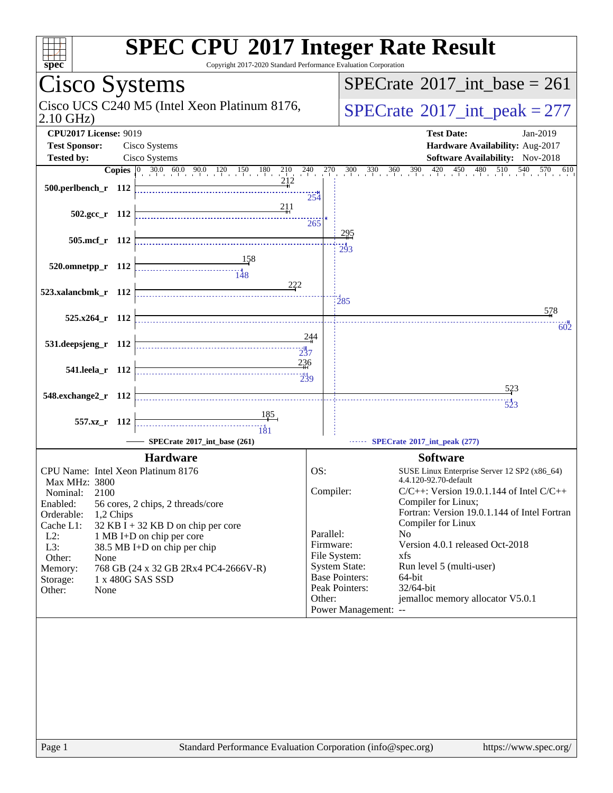| <b>SPEC CPU®2017 Integer Rate Result</b><br>Copyright 2017-2020 Standard Performance Evaluation Corporation<br>$spec^*$ |                                                        |                                                                                                                    |                                                            |  |                                                                                      |  |  |  |  |
|-------------------------------------------------------------------------------------------------------------------------|--------------------------------------------------------|--------------------------------------------------------------------------------------------------------------------|------------------------------------------------------------|--|--------------------------------------------------------------------------------------|--|--|--|--|
| Cisco Systems                                                                                                           |                                                        |                                                                                                                    |                                                            |  | $SPECrate^{\circ}2017\_int\_base = 261$                                              |  |  |  |  |
| Cisco UCS C240 M5 (Intel Xeon Platinum 8176,<br>$2.10$ GHz)                                                             |                                                        |                                                                                                                    |                                                            |  | $SPECrate^{\circ}2017\_int\_peak = 277$                                              |  |  |  |  |
| <b>CPU2017 License: 9019</b><br><b>Test Date:</b><br>$Jan-2019$                                                         |                                                        |                                                                                                                    |                                                            |  |                                                                                      |  |  |  |  |
| <b>Test Sponsor:</b>                                                                                                    |                                                        | Cisco Systems                                                                                                      |                                                            |  | Hardware Availability: Aug-2017                                                      |  |  |  |  |
| <b>Tested by:</b>                                                                                                       |                                                        | Cisco Systems                                                                                                      |                                                            |  | Software Availability: Nov-2018<br>570                                               |  |  |  |  |
|                                                                                                                         |                                                        | <b>Copies</b> $\begin{bmatrix} 0 & 30.0 & 60.0 & 90.0 & 120 & 150 & 180 \end{bmatrix}$<br>$^{210}$ $^{240}$<br>212 | $\frac{270}{ }$                                            |  | $330 \over 10^{360} \over 10^{390}$<br>420<br>450<br>480<br>510<br>300<br>540<br>610 |  |  |  |  |
| 500.perlbench_r 112                                                                                                     |                                                        |                                                                                                                    | 254                                                        |  |                                                                                      |  |  |  |  |
|                                                                                                                         |                                                        | 211                                                                                                                |                                                            |  |                                                                                      |  |  |  |  |
| $502.\text{gcc r}$ 112                                                                                                  |                                                        |                                                                                                                    | 265                                                        |  |                                                                                      |  |  |  |  |
| 505.mcf r 112                                                                                                           |                                                        |                                                                                                                    |                                                            |  | <u> 295</u>                                                                          |  |  |  |  |
|                                                                                                                         |                                                        |                                                                                                                    |                                                            |  | 293                                                                                  |  |  |  |  |
| 520.omnetpp_r 112                                                                                                       |                                                        |                                                                                                                    |                                                            |  |                                                                                      |  |  |  |  |
|                                                                                                                         |                                                        | 222                                                                                                                |                                                            |  |                                                                                      |  |  |  |  |
| 523.xalancbmk_r 112                                                                                                     |                                                        |                                                                                                                    |                                                            |  | 285                                                                                  |  |  |  |  |
| 525.x264_r 112                                                                                                          |                                                        |                                                                                                                    |                                                            |  | 578                                                                                  |  |  |  |  |
|                                                                                                                         |                                                        |                                                                                                                    |                                                            |  | 602                                                                                  |  |  |  |  |
| 531.deepsjeng_r 112                                                                                                     |                                                        |                                                                                                                    | 244                                                        |  |                                                                                      |  |  |  |  |
|                                                                                                                         |                                                        | 237                                                                                                                |                                                            |  |                                                                                      |  |  |  |  |
| 541.leela_r 112                                                                                                         |                                                        | 236<br>239                                                                                                         |                                                            |  |                                                                                      |  |  |  |  |
|                                                                                                                         |                                                        |                                                                                                                    |                                                            |  | 523                                                                                  |  |  |  |  |
| 548.exchange2_r 112                                                                                                     |                                                        |                                                                                                                    |                                                            |  | $\frac{1}{523}$                                                                      |  |  |  |  |
| 557.xz_r 112                                                                                                            |                                                        |                                                                                                                    |                                                            |  |                                                                                      |  |  |  |  |
|                                                                                                                         |                                                        | $\frac{11}{181}$                                                                                                   |                                                            |  |                                                                                      |  |  |  |  |
|                                                                                                                         |                                                        | SPECrate®2017_int_base (261)                                                                                       |                                                            |  | SPECrate®2017_int_peak (277)                                                         |  |  |  |  |
|                                                                                                                         |                                                        | <b>Hardware</b>                                                                                                    |                                                            |  | <b>Software</b>                                                                      |  |  |  |  |
| CPU Name: Intel Xeon Platinum 8176<br><b>Max MHz: 3800</b>                                                              |                                                        |                                                                                                                    | OS:                                                        |  | SUSE Linux Enterprise Server 12 SP2 (x86_64)<br>4.4.120-92.70-default                |  |  |  |  |
| Nominal:<br>2100                                                                                                        |                                                        |                                                                                                                    | Compiler:<br>$C/C++$ : Version 19.0.1.144 of Intel $C/C++$ |  |                                                                                      |  |  |  |  |
| Enabled:                                                                                                                |                                                        | 56 cores, 2 chips, 2 threads/core                                                                                  |                                                            |  | Compiler for Linux;                                                                  |  |  |  |  |
| Orderable:<br>1,2 Chips<br>Cache L1:                                                                                    |                                                        | $32$ KB I + 32 KB D on chip per core                                                                               |                                                            |  | Fortran: Version 19.0.1.144 of Intel Fortran<br>Compiler for Linux                   |  |  |  |  |
| $L2$ :                                                                                                                  |                                                        | 1 MB I+D on chip per core                                                                                          | Parallel:                                                  |  | N <sub>o</sub>                                                                       |  |  |  |  |
| L3:                                                                                                                     |                                                        | 38.5 MB I+D on chip per chip                                                                                       |                                                            |  | Firmware:<br>Version 4.0.1 released Oct-2018<br>File System:<br>xfs                  |  |  |  |  |
| Memory:                                                                                                                 | Other:<br>None<br>768 GB (24 x 32 GB 2Rx4 PC4-2666V-R) |                                                                                                                    |                                                            |  | <b>System State:</b><br>Run level 5 (multi-user)                                     |  |  |  |  |
| Storage:                                                                                                                |                                                        | 1 x 480G SAS SSD                                                                                                   |                                                            |  | <b>Base Pointers:</b><br>64-bit                                                      |  |  |  |  |
| Other:<br>None                                                                                                          |                                                        |                                                                                                                    | Other:                                                     |  | Peak Pointers:<br>32/64-bit<br>jemalloc memory allocator V5.0.1                      |  |  |  |  |
|                                                                                                                         |                                                        |                                                                                                                    |                                                            |  | Power Management: --                                                                 |  |  |  |  |
|                                                                                                                         |                                                        |                                                                                                                    |                                                            |  |                                                                                      |  |  |  |  |
|                                                                                                                         |                                                        |                                                                                                                    |                                                            |  |                                                                                      |  |  |  |  |
|                                                                                                                         |                                                        |                                                                                                                    |                                                            |  |                                                                                      |  |  |  |  |
|                                                                                                                         |                                                        |                                                                                                                    |                                                            |  |                                                                                      |  |  |  |  |
|                                                                                                                         |                                                        |                                                                                                                    |                                                            |  |                                                                                      |  |  |  |  |
|                                                                                                                         |                                                        |                                                                                                                    |                                                            |  |                                                                                      |  |  |  |  |
|                                                                                                                         |                                                        |                                                                                                                    |                                                            |  |                                                                                      |  |  |  |  |
|                                                                                                                         |                                                        |                                                                                                                    |                                                            |  |                                                                                      |  |  |  |  |
|                                                                                                                         |                                                        |                                                                                                                    |                                                            |  |                                                                                      |  |  |  |  |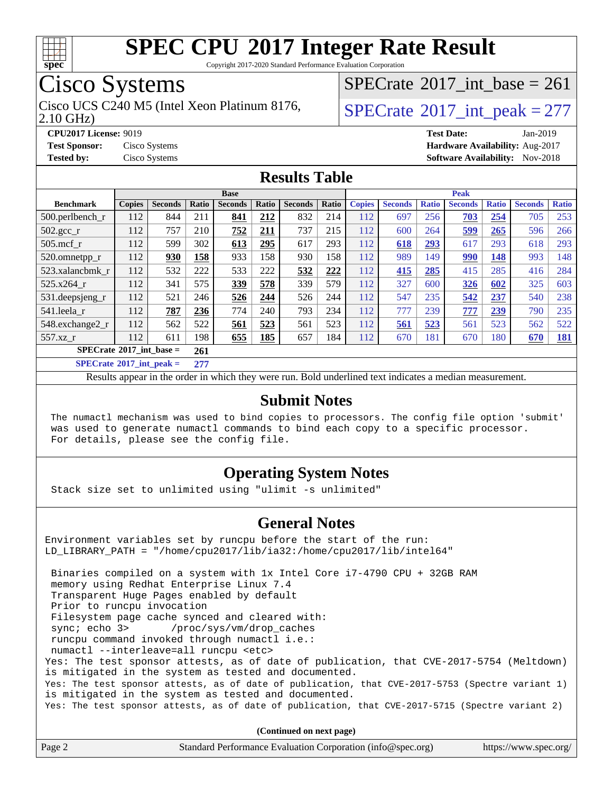

Copyright 2017-2020 Standard Performance Evaluation Corporation

## Cisco Systems

2.10 GHz) Cisco UCS C240 M5 (Intel Xeon Platinum 8176,  $\vert$ [SPECrate](http://www.spec.org/auto/cpu2017/Docs/result-fields.html#SPECrate2017intpeak)®[2017\\_int\\_peak = 2](http://www.spec.org/auto/cpu2017/Docs/result-fields.html#SPECrate2017intpeak)77

 $SPECTate$ <sup>®</sup>[2017\\_int\\_base =](http://www.spec.org/auto/cpu2017/Docs/result-fields.html#SPECrate2017intbase) 261

**[CPU2017 License:](http://www.spec.org/auto/cpu2017/Docs/result-fields.html#CPU2017License)** 9019 **[Test Date:](http://www.spec.org/auto/cpu2017/Docs/result-fields.html#TestDate)** Jan-2019 **[Test Sponsor:](http://www.spec.org/auto/cpu2017/Docs/result-fields.html#TestSponsor)** Cisco Systems **[Hardware Availability:](http://www.spec.org/auto/cpu2017/Docs/result-fields.html#HardwareAvailability)** Aug-2017 **[Tested by:](http://www.spec.org/auto/cpu2017/Docs/result-fields.html#Testedby)** Cisco Systems **[Software Availability:](http://www.spec.org/auto/cpu2017/Docs/result-fields.html#SoftwareAvailability)** Nov-2018

#### **[Results Table](http://www.spec.org/auto/cpu2017/Docs/result-fields.html#ResultsTable)**

|                                                  | <b>Base</b>   |                |         |                |       |                | <b>Peak</b> |               |                |              |                |              |                |              |
|--------------------------------------------------|---------------|----------------|---------|----------------|-------|----------------|-------------|---------------|----------------|--------------|----------------|--------------|----------------|--------------|
| <b>Benchmark</b>                                 | <b>Copies</b> | <b>Seconds</b> | Ratio   | <b>Seconds</b> | Ratio | <b>Seconds</b> | Ratio       | <b>Copies</b> | <b>Seconds</b> | <b>Ratio</b> | <b>Seconds</b> | <b>Ratio</b> | <b>Seconds</b> | <b>Ratio</b> |
| $500.$ perlbench_r                               | 112           | 844            | 211     | 841            | 212   | 832            | 214         | 112           | 697            | 256          | 703            | 254          | 705            | 253          |
| $502.\text{gcc\_r}$                              | 112           | 757            | 210     | 752            | 211   | 737            | 215         | 112           | 600            | 264          | <u>599</u>     | 265          | 596            | 266          |
| $505$ .mcf r                                     | 112           | 599            | 302     | 613            | 295   | 617            | 293         | 112           | 618            | 293          | 617            | 293          | 618            | 293          |
| 520.omnetpp_r                                    | 112           | 930            | 158     | 933            | 158   | 930            | 158         | 112           | 989            | 149          | 990            | 148          | 993            | 148          |
| 523.xalancbmk r                                  | 112           | 532            | 222     | 533            | 222   | 532            | 222         | 112           | 415            | 285          | 415            | 285          | 416            | 284          |
| 525.x264 r                                       | 112           | 341            | 575     | 339            | 578   | 339            | 579         | 112           | 327            | 600          | 326            | 602          | 325            | 603          |
| 531.deepsjeng_r                                  | 112           | 521            | 246     | 526            | 244   | 526            | 244         | 112           | 547            | 235          | 542            | 237          | 540            | 238          |
| 541.leela r                                      | 112           | 787            | 236     | 774            | 240   | 793            | 234         | 112           | 777            | 239          | 777            | 239          | 790            | 235          |
| 548.exchange2_r                                  | 112           | 562            | 522     | 561            | 523   | 561            | 523         | 112           | 561            | 523          | 561            | 523          | 562            | 522          |
| 557.xz r                                         | 112           | 611            | 198     | 655            | 185   | 657            | 184         | 112           | 670            | 181          | 670            | 180          | 670            | <u>181</u>   |
| $SPECrate^{\circ}2017$ int base =                |               |                | 261     |                |       |                |             |               |                |              |                |              |                |              |
| $CDDCC_{11}$ (1.000.17 $1.4$ in the set of $1.4$ |               |                | $A = 1$ |                |       |                |             |               |                |              |                |              |                |              |

**[SPECrate](http://www.spec.org/auto/cpu2017/Docs/result-fields.html#SPECrate2017intpeak)[2017\\_int\\_peak =](http://www.spec.org/auto/cpu2017/Docs/result-fields.html#SPECrate2017intpeak) 277**

Results appear in the [order in which they were run](http://www.spec.org/auto/cpu2017/Docs/result-fields.html#RunOrder). Bold underlined text [indicates a median measurement](http://www.spec.org/auto/cpu2017/Docs/result-fields.html#Median).

#### **[Submit Notes](http://www.spec.org/auto/cpu2017/Docs/result-fields.html#SubmitNotes)**

 The numactl mechanism was used to bind copies to processors. The config file option 'submit' was used to generate numactl commands to bind each copy to a specific processor. For details, please see the config file.

#### **[Operating System Notes](http://www.spec.org/auto/cpu2017/Docs/result-fields.html#OperatingSystemNotes)**

Stack size set to unlimited using "ulimit -s unlimited"

#### **[General Notes](http://www.spec.org/auto/cpu2017/Docs/result-fields.html#GeneralNotes)**

Environment variables set by runcpu before the start of the run: LD\_LIBRARY\_PATH = "/home/cpu2017/lib/ia32:/home/cpu2017/lib/intel64"

 Binaries compiled on a system with 1x Intel Core i7-4790 CPU + 32GB RAM memory using Redhat Enterprise Linux 7.4 Transparent Huge Pages enabled by default Prior to runcpu invocation Filesystem page cache synced and cleared with: sync; echo 3> /proc/sys/vm/drop\_caches runcpu command invoked through numactl i.e.: numactl --interleave=all runcpu <etc> Yes: The test sponsor attests, as of date of publication, that CVE-2017-5754 (Meltdown) is mitigated in the system as tested and documented. Yes: The test sponsor attests, as of date of publication, that CVE-2017-5753 (Spectre variant 1) is mitigated in the system as tested and documented. Yes: The test sponsor attests, as of date of publication, that CVE-2017-5715 (Spectre variant 2)

**(Continued on next page)**

| Page 2<br>Standard Performance Evaluation Corporation (info@spec.org)<br>https://www.spec.org/ |
|------------------------------------------------------------------------------------------------|
|------------------------------------------------------------------------------------------------|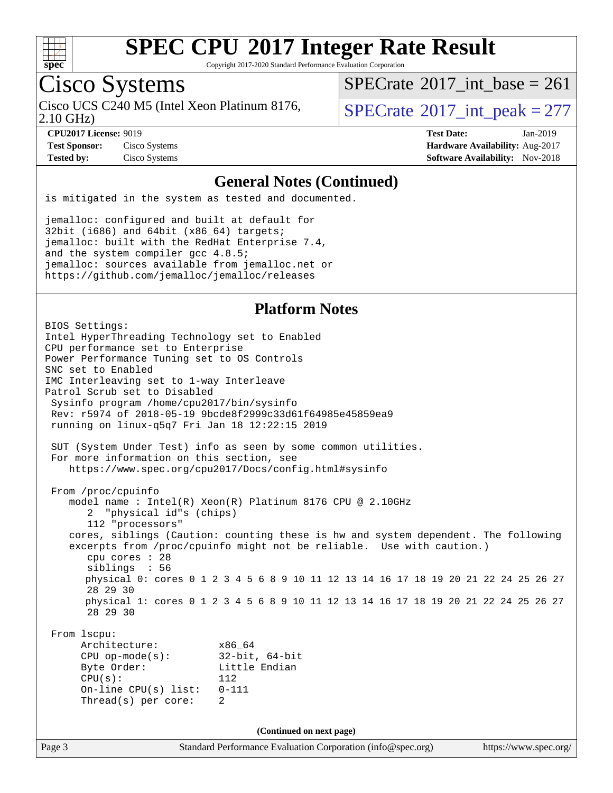

Copyright 2017-2020 Standard Performance Evaluation Corporation

## Cisco Systems

Cisco UCS C240 M5 (Intel Xeon Platinum 8176,  $\vert$ [SPECrate](http://www.spec.org/auto/cpu2017/Docs/result-fields.html#SPECrate2017intpeak)®[2017\\_int\\_peak = 2](http://www.spec.org/auto/cpu2017/Docs/result-fields.html#SPECrate2017intpeak)77

 $SPECTate$ <sup>®</sup>[2017\\_int\\_base =](http://www.spec.org/auto/cpu2017/Docs/result-fields.html#SPECrate2017intbase) 261

2.10 GHz)

**[Test Sponsor:](http://www.spec.org/auto/cpu2017/Docs/result-fields.html#TestSponsor)** Cisco Systems **[Hardware Availability:](http://www.spec.org/auto/cpu2017/Docs/result-fields.html#HardwareAvailability)** Aug-2017

**[CPU2017 License:](http://www.spec.org/auto/cpu2017/Docs/result-fields.html#CPU2017License)** 9019 **[Test Date:](http://www.spec.org/auto/cpu2017/Docs/result-fields.html#TestDate)** Jan-2019 **[Tested by:](http://www.spec.org/auto/cpu2017/Docs/result-fields.html#Testedby)** Cisco Systems **[Software Availability:](http://www.spec.org/auto/cpu2017/Docs/result-fields.html#SoftwareAvailability)** Nov-2018

#### **[General Notes \(Continued\)](http://www.spec.org/auto/cpu2017/Docs/result-fields.html#GeneralNotes)**

is mitigated in the system as tested and documented.

jemalloc: configured and built at default for 32bit (i686) and 64bit (x86\_64) targets; jemalloc: built with the RedHat Enterprise 7.4, and the system compiler gcc 4.8.5; jemalloc: sources available from jemalloc.net or <https://github.com/jemalloc/jemalloc/releases>

#### **[Platform Notes](http://www.spec.org/auto/cpu2017/Docs/result-fields.html#PlatformNotes)**

Page 3 Standard Performance Evaluation Corporation [\(info@spec.org\)](mailto:info@spec.org) <https://www.spec.org/> BIOS Settings: Intel HyperThreading Technology set to Enabled CPU performance set to Enterprise Power Performance Tuning set to OS Controls SNC set to Enabled IMC Interleaving set to 1-way Interleave Patrol Scrub set to Disabled Sysinfo program /home/cpu2017/bin/sysinfo Rev: r5974 of 2018-05-19 9bcde8f2999c33d61f64985e45859ea9 running on linux-q5q7 Fri Jan 18 12:22:15 2019 SUT (System Under Test) info as seen by some common utilities. For more information on this section, see <https://www.spec.org/cpu2017/Docs/config.html#sysinfo> From /proc/cpuinfo model name : Intel(R) Xeon(R) Platinum 8176 CPU @ 2.10GHz 2 "physical id"s (chips) 112 "processors" cores, siblings (Caution: counting these is hw and system dependent. The following excerpts from /proc/cpuinfo might not be reliable. Use with caution.) cpu cores : 28 siblings : 56 physical 0: cores 0 1 2 3 4 5 6 8 9 10 11 12 13 14 16 17 18 19 20 21 22 24 25 26 27 28 29 30 physical 1: cores 0 1 2 3 4 5 6 8 9 10 11 12 13 14 16 17 18 19 20 21 22 24 25 26 27 28 29 30 From lscpu: Architecture: x86\_64 CPU op-mode(s): 32-bit, 64-bit Byte Order: Little Endian CPU(s): 112 On-line CPU(s) list: 0-111 Thread(s) per core: 2 **(Continued on next page)**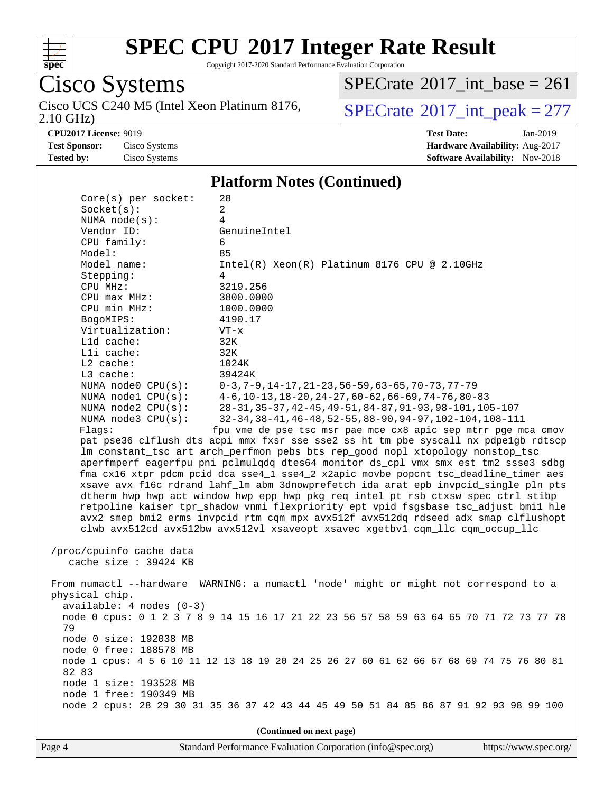

Copyright 2017-2020 Standard Performance Evaluation Corporation

#### Cisco Systems 2.10 GHz) Cisco UCS C240 M5 (Intel Xeon Platinum 8176,  $SPECrate^{\circ}2017\_int\_peak = 277$  $SPECrate^{\circ}2017\_int\_peak = 277$

 $SPECTate$ <sup>®</sup>[2017\\_int\\_base =](http://www.spec.org/auto/cpu2017/Docs/result-fields.html#SPECrate2017intbase) 261

**[CPU2017 License:](http://www.spec.org/auto/cpu2017/Docs/result-fields.html#CPU2017License)** 9019 **[Test Date:](http://www.spec.org/auto/cpu2017/Docs/result-fields.html#TestDate)** Jan-2019 **[Test Sponsor:](http://www.spec.org/auto/cpu2017/Docs/result-fields.html#TestSponsor)** Cisco Systems **[Hardware Availability:](http://www.spec.org/auto/cpu2017/Docs/result-fields.html#HardwareAvailability)** Aug-2017 **[Tested by:](http://www.spec.org/auto/cpu2017/Docs/result-fields.html#Testedby)** Cisco Systems **[Software Availability:](http://www.spec.org/auto/cpu2017/Docs/result-fields.html#SoftwareAvailability)** Nov-2018

#### **[Platform Notes \(Continued\)](http://www.spec.org/auto/cpu2017/Docs/result-fields.html#PlatformNotes)**

| $Core(s)$ per socket:                                                                   | 28                                                                                     |  |  |  |  |  |  |
|-----------------------------------------------------------------------------------------|----------------------------------------------------------------------------------------|--|--|--|--|--|--|
| Socket(s):                                                                              | 2                                                                                      |  |  |  |  |  |  |
| NUMA $node(s):$                                                                         | 4                                                                                      |  |  |  |  |  |  |
| Vendor ID:                                                                              | GenuineIntel                                                                           |  |  |  |  |  |  |
| CPU family:                                                                             | 6                                                                                      |  |  |  |  |  |  |
| Model:                                                                                  | 85                                                                                     |  |  |  |  |  |  |
| Model name:                                                                             | $Intel(R) Xeon(R) Platinum 8176 CPU @ 2.10GHz$                                         |  |  |  |  |  |  |
| Stepping:                                                                               | 4                                                                                      |  |  |  |  |  |  |
| CPU MHz:                                                                                | 3219.256                                                                               |  |  |  |  |  |  |
| CPU max MHz:                                                                            | 3800.0000                                                                              |  |  |  |  |  |  |
| CPU min MHz:                                                                            | 1000.0000                                                                              |  |  |  |  |  |  |
| BogoMIPS:                                                                               | 4190.17                                                                                |  |  |  |  |  |  |
| Virtualization:                                                                         | $VT - x$                                                                               |  |  |  |  |  |  |
| L1d cache:                                                                              | 32K                                                                                    |  |  |  |  |  |  |
| Lli cache:                                                                              | 32K                                                                                    |  |  |  |  |  |  |
| $L2$ cache:                                                                             | 1024K                                                                                  |  |  |  |  |  |  |
| L3 cache:                                                                               | 39424K                                                                                 |  |  |  |  |  |  |
| NUMA $node0$ $CPU(s)$ :                                                                 | $0-3, 7-9, 14-17, 21-23, 56-59, 63-65, 70-73, 77-79$                                   |  |  |  |  |  |  |
| NUMA nodel CPU(s):                                                                      | $4-6$ , 10-13, 18-20, 24-27, 60-62, 66-69, 74-76, 80-83                                |  |  |  |  |  |  |
| NUMA $node2$ $CPU(s):$                                                                  | 28-31, 35-37, 42-45, 49-51, 84-87, 91-93, 98-101, 105-107                              |  |  |  |  |  |  |
| NUMA node3 CPU(s):                                                                      | 32-34, 38-41, 46-48, 52-55, 88-90, 94-97, 102-104, 108-111                             |  |  |  |  |  |  |
| Flags:                                                                                  | fpu vme de pse tsc msr pae mce cx8 apic sep mtrr pge mca cmov                          |  |  |  |  |  |  |
|                                                                                         | pat pse36 clflush dts acpi mmx fxsr sse sse2 ss ht tm pbe syscall nx pdpelgb rdtscp    |  |  |  |  |  |  |
|                                                                                         | lm constant_tsc art arch_perfmon pebs bts rep_good nopl xtopology nonstop_tsc          |  |  |  |  |  |  |
|                                                                                         | aperfmperf eagerfpu pni pclmulqdq dtes64 monitor ds_cpl vmx smx est tm2 ssse3 sdbg     |  |  |  |  |  |  |
|                                                                                         | fma cx16 xtpr pdcm pcid dca sse4_1 sse4_2 x2apic movbe popcnt tsc_deadline_timer aes   |  |  |  |  |  |  |
|                                                                                         | xsave avx f16c rdrand lahf_lm abm 3dnowprefetch ida arat epb invpcid_single pln pts    |  |  |  |  |  |  |
| dtherm hwp hwp_act_window hwp_epp hwp_pkg_req intel_pt rsb_ctxsw spec_ctrl stibp        |                                                                                        |  |  |  |  |  |  |
| retpoline kaiser tpr_shadow vnmi flexpriority ept vpid fsgsbase tsc_adjust bmil hle     |                                                                                        |  |  |  |  |  |  |
|                                                                                         | avx2 smep bmi2 erms invpcid rtm cqm mpx avx512f avx512dq rdseed adx smap clflushopt    |  |  |  |  |  |  |
| clwb avx512cd avx512bw avx512vl xsaveopt xsavec xgetbvl cqm_llc cqm_occup_llc           |                                                                                        |  |  |  |  |  |  |
|                                                                                         |                                                                                        |  |  |  |  |  |  |
| /proc/cpuinfo cache data                                                                |                                                                                        |  |  |  |  |  |  |
| cache size $: 39424$ KB                                                                 |                                                                                        |  |  |  |  |  |  |
|                                                                                         |                                                                                        |  |  |  |  |  |  |
|                                                                                         | From numactl --hardware WARNING: a numactl 'node' might or might not correspond to a   |  |  |  |  |  |  |
| physical chip.                                                                          |                                                                                        |  |  |  |  |  |  |
|                                                                                         | $available: 4 nodes (0-3)$                                                             |  |  |  |  |  |  |
|                                                                                         | node 0 cpus: 0 1 2 3 7 8 9 14 15 16 17 21 22 23 56 57 58 59 63 64 65 70 71 72 73 77 78 |  |  |  |  |  |  |
| 79                                                                                      |                                                                                        |  |  |  |  |  |  |
| node 0 size: 192038 MB                                                                  |                                                                                        |  |  |  |  |  |  |
| node 0 free: 188578 MB                                                                  |                                                                                        |  |  |  |  |  |  |
| node 1 cpus: 4 5 6 10 11 12 13 18 19 20 24 25 26 27 60 61 62 66 67 68 69 74 75 76 80 81 |                                                                                        |  |  |  |  |  |  |
| 82 83                                                                                   |                                                                                        |  |  |  |  |  |  |
| node 1 size: 193528 MB                                                                  |                                                                                        |  |  |  |  |  |  |
| node 1 free: 190349 MB                                                                  |                                                                                        |  |  |  |  |  |  |
|                                                                                         | node 2 cpus: 28 29 30 31 35 36 37 42 43 44 45 49 50 51 84 85 86 87 91 92 93 98 99 100  |  |  |  |  |  |  |
|                                                                                         |                                                                                        |  |  |  |  |  |  |
| (Continued on next page)                                                                |                                                                                        |  |  |  |  |  |  |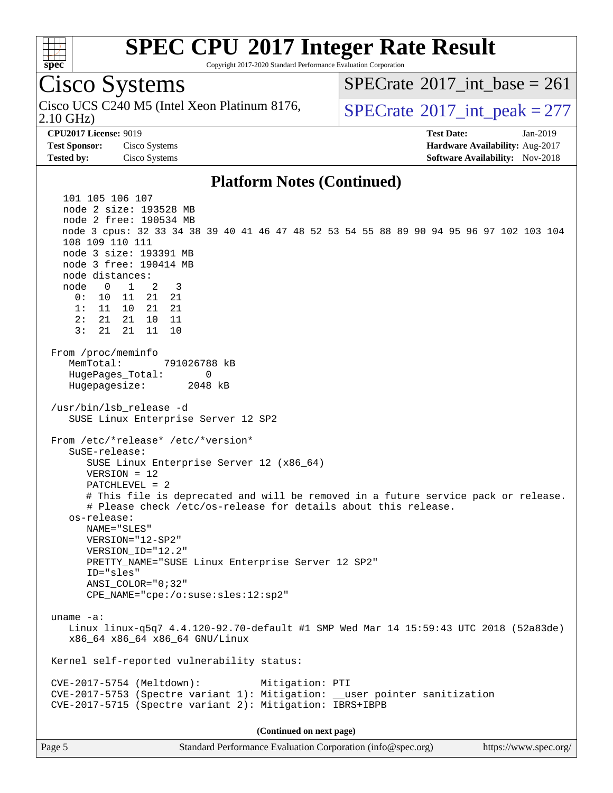

Copyright 2017-2020 Standard Performance Evaluation Corporation

#### Cisco Systems 2.10 GHz) Cisco UCS C240 M5 (Intel Xeon Platinum 8176,  $\vert$ [SPECrate](http://www.spec.org/auto/cpu2017/Docs/result-fields.html#SPECrate2017intpeak)®[2017\\_int\\_peak = 2](http://www.spec.org/auto/cpu2017/Docs/result-fields.html#SPECrate2017intpeak)77 **[CPU2017 License:](http://www.spec.org/auto/cpu2017/Docs/result-fields.html#CPU2017License)** 9019 **[Test Date:](http://www.spec.org/auto/cpu2017/Docs/result-fields.html#TestDate)** Jan-2019 **[Test Sponsor:](http://www.spec.org/auto/cpu2017/Docs/result-fields.html#TestSponsor)** Cisco Systems **[Hardware Availability:](http://www.spec.org/auto/cpu2017/Docs/result-fields.html#HardwareAvailability)** Aug-2017 **[Tested by:](http://www.spec.org/auto/cpu2017/Docs/result-fields.html#Testedby)** Cisco Systems **[Software Availability:](http://www.spec.org/auto/cpu2017/Docs/result-fields.html#SoftwareAvailability)** Nov-2018 **[Platform Notes \(Continued\)](http://www.spec.org/auto/cpu2017/Docs/result-fields.html#PlatformNotes)** 101 105 106 107 node 2 size: 193528 MB node 2 free: 190534 MB node 3 cpus: 32 33 34 38 39 40 41 46 47 48 52 53 54 55 88 89 90 94 95 96 97 102 103 104 108 109 110 111 node 3 size: 193391 MB node 3 free: 190414 MB node distances: node 0 1 2 3 0: 10 11 21 21 1: 11 10 21 21 2: 21 21 10 11 3: 21 21 11 10

 From /proc/meminfo MemTotal: 791026788 kB HugePages\_Total: 0 Hugepagesize: 2048 kB

 /usr/bin/lsb\_release -d SUSE Linux Enterprise Server 12 SP2

 From /etc/\*release\* /etc/\*version\* SuSE-release: SUSE Linux Enterprise Server 12 (x86\_64) VERSION = 12 PATCHLEVEL = 2 # This file is deprecated and will be removed in a future service pack or release. # Please check /etc/os-release for details about this release. os-release: NAME="SLES"

 VERSION="12-SP2" VERSION\_ID="12.2" PRETTY\_NAME="SUSE Linux Enterprise Server 12 SP2" ID="sles" ANSI\_COLOR="0;32" CPE\_NAME="cpe:/o:suse:sles:12:sp2"

 uname -a: Linux linux-q5q7 4.4.120-92.70-default #1 SMP Wed Mar 14 15:59:43 UTC 2018 (52a83de) x86\_64 x86\_64 x86\_64 GNU/Linux

Kernel self-reported vulnerability status:

 CVE-2017-5754 (Meltdown): Mitigation: PTI CVE-2017-5753 (Spectre variant 1): Mitigation: \_\_user pointer sanitization CVE-2017-5715 (Spectre variant 2): Mitigation: IBRS+IBPB

**(Continued on next page)**

 $SPECTate$ <sup>®</sup>[2017\\_int\\_base =](http://www.spec.org/auto/cpu2017/Docs/result-fields.html#SPECrate2017intbase) 261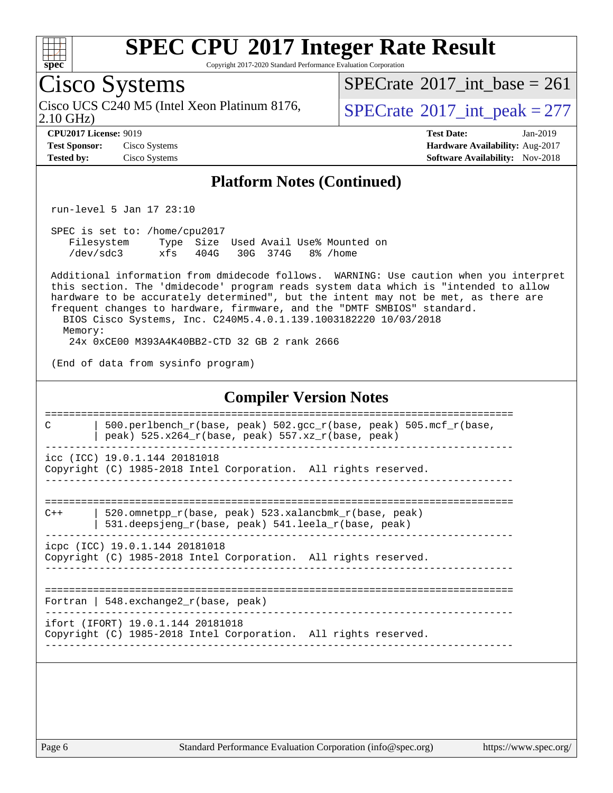

Copyright 2017-2020 Standard Performance Evaluation Corporation

## Cisco Systems

2.10 GHz) Cisco UCS C240 M5 (Intel Xeon Platinum 8176,  $\vert$ [SPECrate](http://www.spec.org/auto/cpu2017/Docs/result-fields.html#SPECrate2017intpeak)®[2017\\_int\\_peak = 2](http://www.spec.org/auto/cpu2017/Docs/result-fields.html#SPECrate2017intpeak)77

 $SPECrate$ <sup>®</sup> $2017$ \_int\_base = 261

**[CPU2017 License:](http://www.spec.org/auto/cpu2017/Docs/result-fields.html#CPU2017License)** 9019 **[Test Date:](http://www.spec.org/auto/cpu2017/Docs/result-fields.html#TestDate)** Jan-2019 **[Test Sponsor:](http://www.spec.org/auto/cpu2017/Docs/result-fields.html#TestSponsor)** Cisco Systems **[Hardware Availability:](http://www.spec.org/auto/cpu2017/Docs/result-fields.html#HardwareAvailability)** Aug-2017 **[Tested by:](http://www.spec.org/auto/cpu2017/Docs/result-fields.html#Testedby)** Cisco Systems **[Software Availability:](http://www.spec.org/auto/cpu2017/Docs/result-fields.html#SoftwareAvailability)** Nov-2018

#### **[Platform Notes \(Continued\)](http://www.spec.org/auto/cpu2017/Docs/result-fields.html#PlatformNotes)**

run-level 5 Jan 17 23:10

 SPEC is set to: /home/cpu2017 Filesystem Type Size Used Avail Use% Mounted on /dev/sdc3 xfs 404G 30G 374G 8% /home

 Additional information from dmidecode follows. WARNING: Use caution when you interpret this section. The 'dmidecode' program reads system data which is "intended to allow hardware to be accurately determined", but the intent may not be met, as there are frequent changes to hardware, firmware, and the "DMTF SMBIOS" standard. BIOS Cisco Systems, Inc. C240M5.4.0.1.139.1003182220 10/03/2018 Memory:

24x 0xCE00 M393A4K40BB2-CTD 32 GB 2 rank 2666

(End of data from sysinfo program)

#### **[Compiler Version Notes](http://www.spec.org/auto/cpu2017/Docs/result-fields.html#CompilerVersionNotes)**

============================================================================== C  $\vert$  500.perlbench r(base, peak) 502.gcc r(base, peak) 505.mcf r(base, | peak) 525.x264  $r(base, peak)$  557.xz  $r(base, peak)$ ----------------------------------------------------------------------------- icc (ICC) 19.0.1.144 20181018

Copyright (C) 1985-2018 Intel Corporation. All rights reserved. ------------------------------------------------------------------------------

============================================================================== C++ | 520.omnetpp\_r(base, peak) 523.xalancbmk\_r(base, peak)

 | 531.deepsjeng\_r(base, peak) 541.leela\_r(base, peak) ------------------------------------------------------------------------------

icpc (ICC) 19.0.1.144 20181018 Copyright (C) 1985-2018 Intel Corporation. All rights reserved. ------------------------------------------------------------------------------

============================================================================== Fortran | 548.exchange2 $r(base, peak)$ 

------------------------------------------------------------------------------

ifort (IFORT) 19.0.1.144 20181018

Copyright (C) 1985-2018 Intel Corporation. All rights reserved. ------------------------------------------------------------------------------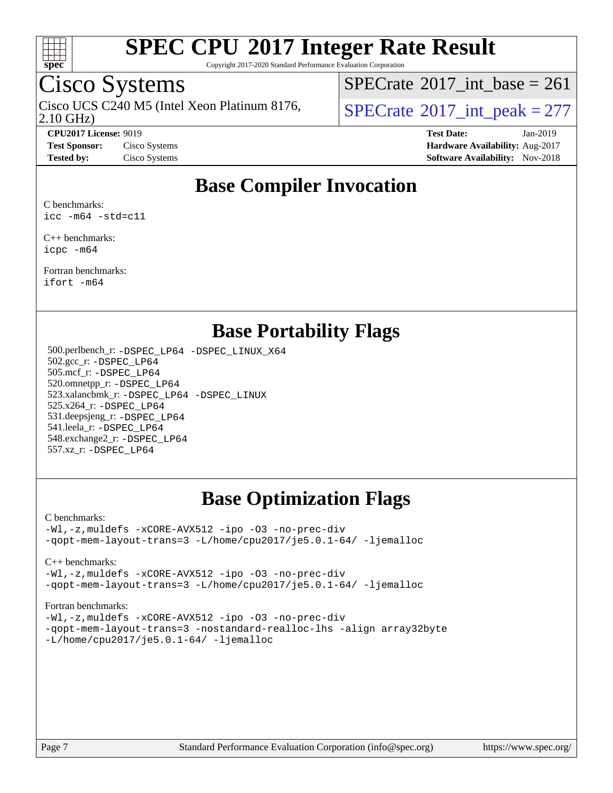

Copyright 2017-2020 Standard Performance Evaluation Corporation

## Cisco Systems

2.10 GHz) Cisco UCS C240 M5 (Intel Xeon Platinum 8176,  $\vert$ [SPECrate](http://www.spec.org/auto/cpu2017/Docs/result-fields.html#SPECrate2017intpeak)®[2017\\_int\\_peak = 2](http://www.spec.org/auto/cpu2017/Docs/result-fields.html#SPECrate2017intpeak)77

 $SPECTate$ <sup>®</sup>[2017\\_int\\_base =](http://www.spec.org/auto/cpu2017/Docs/result-fields.html#SPECrate2017intbase) 261

**[CPU2017 License:](http://www.spec.org/auto/cpu2017/Docs/result-fields.html#CPU2017License)** 9019 **[Test Date:](http://www.spec.org/auto/cpu2017/Docs/result-fields.html#TestDate)** Jan-2019 **[Test Sponsor:](http://www.spec.org/auto/cpu2017/Docs/result-fields.html#TestSponsor)** Cisco Systems **[Hardware Availability:](http://www.spec.org/auto/cpu2017/Docs/result-fields.html#HardwareAvailability)** Aug-2017 **[Tested by:](http://www.spec.org/auto/cpu2017/Docs/result-fields.html#Testedby)** Cisco Systems **[Software Availability:](http://www.spec.org/auto/cpu2017/Docs/result-fields.html#SoftwareAvailability)** Nov-2018

### **[Base Compiler Invocation](http://www.spec.org/auto/cpu2017/Docs/result-fields.html#BaseCompilerInvocation)**

[C benchmarks](http://www.spec.org/auto/cpu2017/Docs/result-fields.html#Cbenchmarks): [icc -m64 -std=c11](http://www.spec.org/cpu2017/results/res2019q1/cpu2017-20190205-11032.flags.html#user_CCbase_intel_icc_64bit_c11_33ee0cdaae7deeeab2a9725423ba97205ce30f63b9926c2519791662299b76a0318f32ddfffdc46587804de3178b4f9328c46fa7c2b0cd779d7a61945c91cd35)

[C++ benchmarks](http://www.spec.org/auto/cpu2017/Docs/result-fields.html#CXXbenchmarks): [icpc -m64](http://www.spec.org/cpu2017/results/res2019q1/cpu2017-20190205-11032.flags.html#user_CXXbase_intel_icpc_64bit_4ecb2543ae3f1412ef961e0650ca070fec7b7afdcd6ed48761b84423119d1bf6bdf5cad15b44d48e7256388bc77273b966e5eb805aefd121eb22e9299b2ec9d9)

[Fortran benchmarks:](http://www.spec.org/auto/cpu2017/Docs/result-fields.html#Fortranbenchmarks) [ifort -m64](http://www.spec.org/cpu2017/results/res2019q1/cpu2017-20190205-11032.flags.html#user_FCbase_intel_ifort_64bit_24f2bb282fbaeffd6157abe4f878425411749daecae9a33200eee2bee2fe76f3b89351d69a8130dd5949958ce389cf37ff59a95e7a40d588e8d3a57e0c3fd751)

#### **[Base Portability Flags](http://www.spec.org/auto/cpu2017/Docs/result-fields.html#BasePortabilityFlags)**

 500.perlbench\_r: [-DSPEC\\_LP64](http://www.spec.org/cpu2017/results/res2019q1/cpu2017-20190205-11032.flags.html#b500.perlbench_r_basePORTABILITY_DSPEC_LP64) [-DSPEC\\_LINUX\\_X64](http://www.spec.org/cpu2017/results/res2019q1/cpu2017-20190205-11032.flags.html#b500.perlbench_r_baseCPORTABILITY_DSPEC_LINUX_X64) 502.gcc\_r: [-DSPEC\\_LP64](http://www.spec.org/cpu2017/results/res2019q1/cpu2017-20190205-11032.flags.html#suite_basePORTABILITY502_gcc_r_DSPEC_LP64) 505.mcf\_r: [-DSPEC\\_LP64](http://www.spec.org/cpu2017/results/res2019q1/cpu2017-20190205-11032.flags.html#suite_basePORTABILITY505_mcf_r_DSPEC_LP64) 520.omnetpp\_r: [-DSPEC\\_LP64](http://www.spec.org/cpu2017/results/res2019q1/cpu2017-20190205-11032.flags.html#suite_basePORTABILITY520_omnetpp_r_DSPEC_LP64) 523.xalancbmk\_r: [-DSPEC\\_LP64](http://www.spec.org/cpu2017/results/res2019q1/cpu2017-20190205-11032.flags.html#suite_basePORTABILITY523_xalancbmk_r_DSPEC_LP64) [-DSPEC\\_LINUX](http://www.spec.org/cpu2017/results/res2019q1/cpu2017-20190205-11032.flags.html#b523.xalancbmk_r_baseCXXPORTABILITY_DSPEC_LINUX) 525.x264\_r: [-DSPEC\\_LP64](http://www.spec.org/cpu2017/results/res2019q1/cpu2017-20190205-11032.flags.html#suite_basePORTABILITY525_x264_r_DSPEC_LP64) 531.deepsjeng\_r: [-DSPEC\\_LP64](http://www.spec.org/cpu2017/results/res2019q1/cpu2017-20190205-11032.flags.html#suite_basePORTABILITY531_deepsjeng_r_DSPEC_LP64) 541.leela\_r: [-DSPEC\\_LP64](http://www.spec.org/cpu2017/results/res2019q1/cpu2017-20190205-11032.flags.html#suite_basePORTABILITY541_leela_r_DSPEC_LP64) 548.exchange2\_r: [-DSPEC\\_LP64](http://www.spec.org/cpu2017/results/res2019q1/cpu2017-20190205-11032.flags.html#suite_basePORTABILITY548_exchange2_r_DSPEC_LP64) 557.xz\_r: [-DSPEC\\_LP64](http://www.spec.org/cpu2017/results/res2019q1/cpu2017-20190205-11032.flags.html#suite_basePORTABILITY557_xz_r_DSPEC_LP64)

### **[Base Optimization Flags](http://www.spec.org/auto/cpu2017/Docs/result-fields.html#BaseOptimizationFlags)**

[C benchmarks](http://www.spec.org/auto/cpu2017/Docs/result-fields.html#Cbenchmarks):

[-Wl,-z,muldefs](http://www.spec.org/cpu2017/results/res2019q1/cpu2017-20190205-11032.flags.html#user_CCbase_link_force_multiple1_b4cbdb97b34bdee9ceefcfe54f4c8ea74255f0b02a4b23e853cdb0e18eb4525ac79b5a88067c842dd0ee6996c24547a27a4b99331201badda8798ef8a743f577) [-xCORE-AVX512](http://www.spec.org/cpu2017/results/res2019q1/cpu2017-20190205-11032.flags.html#user_CCbase_f-xCORE-AVX512) [-ipo](http://www.spec.org/cpu2017/results/res2019q1/cpu2017-20190205-11032.flags.html#user_CCbase_f-ipo) [-O3](http://www.spec.org/cpu2017/results/res2019q1/cpu2017-20190205-11032.flags.html#user_CCbase_f-O3) [-no-prec-div](http://www.spec.org/cpu2017/results/res2019q1/cpu2017-20190205-11032.flags.html#user_CCbase_f-no-prec-div) [-qopt-mem-layout-trans=3](http://www.spec.org/cpu2017/results/res2019q1/cpu2017-20190205-11032.flags.html#user_CCbase_f-qopt-mem-layout-trans_de80db37974c74b1f0e20d883f0b675c88c3b01e9d123adea9b28688d64333345fb62bc4a798493513fdb68f60282f9a726aa07f478b2f7113531aecce732043) [-L/home/cpu2017/je5.0.1-64/](http://www.spec.org/cpu2017/results/res2019q1/cpu2017-20190205-11032.flags.html#user_CCbase_jemalloc_link_path64_8e927a5f1bdac0405e66c637541874330e08086b5e62a1d024bcf3497e3c64fd173c8afb7d1730d51f6da781ef4c439bdab468bb8364cf71435e0c609fac500c) [-ljemalloc](http://www.spec.org/cpu2017/results/res2019q1/cpu2017-20190205-11032.flags.html#user_CCbase_jemalloc_link_lib_d1249b907c500fa1c0672f44f562e3d0f79738ae9e3c4a9c376d49f265a04b9c99b167ecedbf6711b3085be911c67ff61f150a17b3472be731631ba4d0471706)

[C++ benchmarks:](http://www.spec.org/auto/cpu2017/Docs/result-fields.html#CXXbenchmarks)

[-Wl,-z,muldefs](http://www.spec.org/cpu2017/results/res2019q1/cpu2017-20190205-11032.flags.html#user_CXXbase_link_force_multiple1_b4cbdb97b34bdee9ceefcfe54f4c8ea74255f0b02a4b23e853cdb0e18eb4525ac79b5a88067c842dd0ee6996c24547a27a4b99331201badda8798ef8a743f577) [-xCORE-AVX512](http://www.spec.org/cpu2017/results/res2019q1/cpu2017-20190205-11032.flags.html#user_CXXbase_f-xCORE-AVX512) [-ipo](http://www.spec.org/cpu2017/results/res2019q1/cpu2017-20190205-11032.flags.html#user_CXXbase_f-ipo) [-O3](http://www.spec.org/cpu2017/results/res2019q1/cpu2017-20190205-11032.flags.html#user_CXXbase_f-O3) [-no-prec-div](http://www.spec.org/cpu2017/results/res2019q1/cpu2017-20190205-11032.flags.html#user_CXXbase_f-no-prec-div) [-qopt-mem-layout-trans=3](http://www.spec.org/cpu2017/results/res2019q1/cpu2017-20190205-11032.flags.html#user_CXXbase_f-qopt-mem-layout-trans_de80db37974c74b1f0e20d883f0b675c88c3b01e9d123adea9b28688d64333345fb62bc4a798493513fdb68f60282f9a726aa07f478b2f7113531aecce732043) [-L/home/cpu2017/je5.0.1-64/](http://www.spec.org/cpu2017/results/res2019q1/cpu2017-20190205-11032.flags.html#user_CXXbase_jemalloc_link_path64_8e927a5f1bdac0405e66c637541874330e08086b5e62a1d024bcf3497e3c64fd173c8afb7d1730d51f6da781ef4c439bdab468bb8364cf71435e0c609fac500c) [-ljemalloc](http://www.spec.org/cpu2017/results/res2019q1/cpu2017-20190205-11032.flags.html#user_CXXbase_jemalloc_link_lib_d1249b907c500fa1c0672f44f562e3d0f79738ae9e3c4a9c376d49f265a04b9c99b167ecedbf6711b3085be911c67ff61f150a17b3472be731631ba4d0471706)

[Fortran benchmarks](http://www.spec.org/auto/cpu2017/Docs/result-fields.html#Fortranbenchmarks):

[-Wl,-z,muldefs](http://www.spec.org/cpu2017/results/res2019q1/cpu2017-20190205-11032.flags.html#user_FCbase_link_force_multiple1_b4cbdb97b34bdee9ceefcfe54f4c8ea74255f0b02a4b23e853cdb0e18eb4525ac79b5a88067c842dd0ee6996c24547a27a4b99331201badda8798ef8a743f577) [-xCORE-AVX512](http://www.spec.org/cpu2017/results/res2019q1/cpu2017-20190205-11032.flags.html#user_FCbase_f-xCORE-AVX512) [-ipo](http://www.spec.org/cpu2017/results/res2019q1/cpu2017-20190205-11032.flags.html#user_FCbase_f-ipo) [-O3](http://www.spec.org/cpu2017/results/res2019q1/cpu2017-20190205-11032.flags.html#user_FCbase_f-O3) [-no-prec-div](http://www.spec.org/cpu2017/results/res2019q1/cpu2017-20190205-11032.flags.html#user_FCbase_f-no-prec-div) [-qopt-mem-layout-trans=3](http://www.spec.org/cpu2017/results/res2019q1/cpu2017-20190205-11032.flags.html#user_FCbase_f-qopt-mem-layout-trans_de80db37974c74b1f0e20d883f0b675c88c3b01e9d123adea9b28688d64333345fb62bc4a798493513fdb68f60282f9a726aa07f478b2f7113531aecce732043) [-nostandard-realloc-lhs](http://www.spec.org/cpu2017/results/res2019q1/cpu2017-20190205-11032.flags.html#user_FCbase_f_2003_std_realloc_82b4557e90729c0f113870c07e44d33d6f5a304b4f63d4c15d2d0f1fab99f5daaed73bdb9275d9ae411527f28b936061aa8b9c8f2d63842963b95c9dd6426b8a) [-align array32byte](http://www.spec.org/cpu2017/results/res2019q1/cpu2017-20190205-11032.flags.html#user_FCbase_align_array32byte_b982fe038af199962ba9a80c053b8342c548c85b40b8e86eb3cc33dee0d7986a4af373ac2d51c3f7cf710a18d62fdce2948f201cd044323541f22fc0fffc51b6) [-L/home/cpu2017/je5.0.1-64/](http://www.spec.org/cpu2017/results/res2019q1/cpu2017-20190205-11032.flags.html#user_FCbase_jemalloc_link_path64_8e927a5f1bdac0405e66c637541874330e08086b5e62a1d024bcf3497e3c64fd173c8afb7d1730d51f6da781ef4c439bdab468bb8364cf71435e0c609fac500c) [-ljemalloc](http://www.spec.org/cpu2017/results/res2019q1/cpu2017-20190205-11032.flags.html#user_FCbase_jemalloc_link_lib_d1249b907c500fa1c0672f44f562e3d0f79738ae9e3c4a9c376d49f265a04b9c99b167ecedbf6711b3085be911c67ff61f150a17b3472be731631ba4d0471706)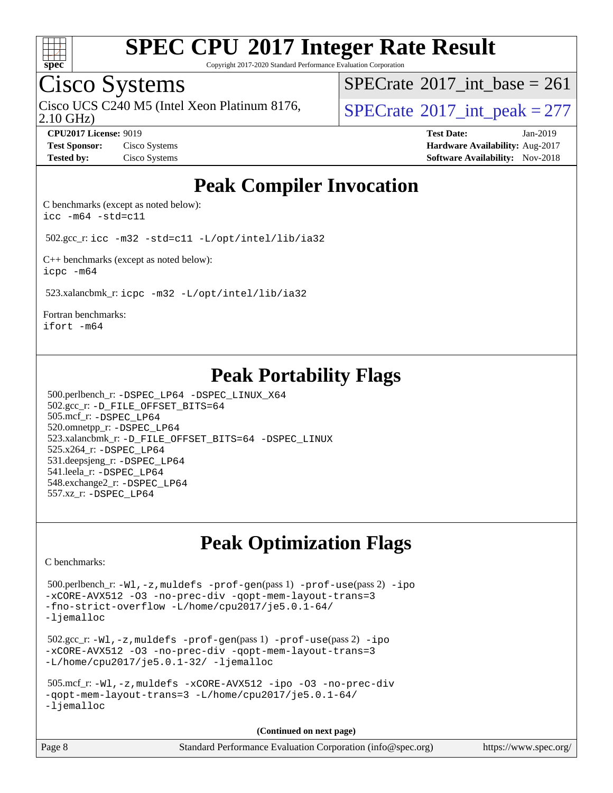

Copyright 2017-2020 Standard Performance Evaluation Corporation

## Cisco Systems

2.10 GHz) Cisco UCS C240 M5 (Intel Xeon Platinum 8176,  $\vert$ [SPECrate](http://www.spec.org/auto/cpu2017/Docs/result-fields.html#SPECrate2017intpeak)®[2017\\_int\\_peak = 2](http://www.spec.org/auto/cpu2017/Docs/result-fields.html#SPECrate2017intpeak)77

 $SPECTate$ <sup>®</sup>[2017\\_int\\_base =](http://www.spec.org/auto/cpu2017/Docs/result-fields.html#SPECrate2017intbase) 261

**[CPU2017 License:](http://www.spec.org/auto/cpu2017/Docs/result-fields.html#CPU2017License)** 9019 **[Test Date:](http://www.spec.org/auto/cpu2017/Docs/result-fields.html#TestDate)** Jan-2019 **[Test Sponsor:](http://www.spec.org/auto/cpu2017/Docs/result-fields.html#TestSponsor)** Cisco Systems **Cisco Systems [Hardware Availability:](http://www.spec.org/auto/cpu2017/Docs/result-fields.html#HardwareAvailability)** Aug-2017 **[Tested by:](http://www.spec.org/auto/cpu2017/Docs/result-fields.html#Testedby)** Cisco Systems **Cisco Systems [Software Availability:](http://www.spec.org/auto/cpu2017/Docs/result-fields.html#SoftwareAvailability)** Nov-2018

### **[Peak Compiler Invocation](http://www.spec.org/auto/cpu2017/Docs/result-fields.html#PeakCompilerInvocation)**

[C benchmarks \(except as noted below\)](http://www.spec.org/auto/cpu2017/Docs/result-fields.html#Cbenchmarksexceptasnotedbelow): [icc -m64 -std=c11](http://www.spec.org/cpu2017/results/res2019q1/cpu2017-20190205-11032.flags.html#user_CCpeak_intel_icc_64bit_c11_33ee0cdaae7deeeab2a9725423ba97205ce30f63b9926c2519791662299b76a0318f32ddfffdc46587804de3178b4f9328c46fa7c2b0cd779d7a61945c91cd35)

502.gcc\_r: [icc -m32 -std=c11 -L/opt/intel/lib/ia32](http://www.spec.org/cpu2017/results/res2019q1/cpu2017-20190205-11032.flags.html#user_peakCCLD502_gcc_r_intel_icc_ba8be3d1ddcd8fa690d221d86b97d5980848a6fc7befb72d2aae7f265697ba3b80fdc9e77889232674508f6cf7fae229a8f479c4e0ca8921041dee8e2ca22d98)

[C++ benchmarks \(except as noted below\):](http://www.spec.org/auto/cpu2017/Docs/result-fields.html#CXXbenchmarksexceptasnotedbelow) [icpc -m64](http://www.spec.org/cpu2017/results/res2019q1/cpu2017-20190205-11032.flags.html#user_CXXpeak_intel_icpc_64bit_4ecb2543ae3f1412ef961e0650ca070fec7b7afdcd6ed48761b84423119d1bf6bdf5cad15b44d48e7256388bc77273b966e5eb805aefd121eb22e9299b2ec9d9)

523.xalancbmk\_r: [icpc -m32 -L/opt/intel/lib/ia32](http://www.spec.org/cpu2017/results/res2019q1/cpu2017-20190205-11032.flags.html#user_peakCXXLD523_xalancbmk_r_intel_icpc_44eae83c1f565e7e266431f067370024ba26559400a3332485578bf716e23841c734f948145e944e2f4b6f3ce32c2c966ea92b66ca79c6f94f301242c0f554cf)

[Fortran benchmarks](http://www.spec.org/auto/cpu2017/Docs/result-fields.html#Fortranbenchmarks): [ifort -m64](http://www.spec.org/cpu2017/results/res2019q1/cpu2017-20190205-11032.flags.html#user_FCpeak_intel_ifort_64bit_24f2bb282fbaeffd6157abe4f878425411749daecae9a33200eee2bee2fe76f3b89351d69a8130dd5949958ce389cf37ff59a95e7a40d588e8d3a57e0c3fd751)

### **[Peak Portability Flags](http://www.spec.org/auto/cpu2017/Docs/result-fields.html#PeakPortabilityFlags)**

 500.perlbench\_r: [-DSPEC\\_LP64](http://www.spec.org/cpu2017/results/res2019q1/cpu2017-20190205-11032.flags.html#b500.perlbench_r_peakPORTABILITY_DSPEC_LP64) [-DSPEC\\_LINUX\\_X64](http://www.spec.org/cpu2017/results/res2019q1/cpu2017-20190205-11032.flags.html#b500.perlbench_r_peakCPORTABILITY_DSPEC_LINUX_X64) 502.gcc\_r: [-D\\_FILE\\_OFFSET\\_BITS=64](http://www.spec.org/cpu2017/results/res2019q1/cpu2017-20190205-11032.flags.html#user_peakPORTABILITY502_gcc_r_file_offset_bits_64_5ae949a99b284ddf4e95728d47cb0843d81b2eb0e18bdfe74bbf0f61d0b064f4bda2f10ea5eb90e1dcab0e84dbc592acfc5018bc955c18609f94ddb8d550002c) 505.mcf\_r: [-DSPEC\\_LP64](http://www.spec.org/cpu2017/results/res2019q1/cpu2017-20190205-11032.flags.html#suite_peakPORTABILITY505_mcf_r_DSPEC_LP64) 520.omnetpp\_r: [-DSPEC\\_LP64](http://www.spec.org/cpu2017/results/res2019q1/cpu2017-20190205-11032.flags.html#suite_peakPORTABILITY520_omnetpp_r_DSPEC_LP64) 523.xalancbmk\_r: [-D\\_FILE\\_OFFSET\\_BITS=64](http://www.spec.org/cpu2017/results/res2019q1/cpu2017-20190205-11032.flags.html#user_peakPORTABILITY523_xalancbmk_r_file_offset_bits_64_5ae949a99b284ddf4e95728d47cb0843d81b2eb0e18bdfe74bbf0f61d0b064f4bda2f10ea5eb90e1dcab0e84dbc592acfc5018bc955c18609f94ddb8d550002c) [-DSPEC\\_LINUX](http://www.spec.org/cpu2017/results/res2019q1/cpu2017-20190205-11032.flags.html#b523.xalancbmk_r_peakCXXPORTABILITY_DSPEC_LINUX) 525.x264\_r: [-DSPEC\\_LP64](http://www.spec.org/cpu2017/results/res2019q1/cpu2017-20190205-11032.flags.html#suite_peakPORTABILITY525_x264_r_DSPEC_LP64) 531.deepsjeng\_r: [-DSPEC\\_LP64](http://www.spec.org/cpu2017/results/res2019q1/cpu2017-20190205-11032.flags.html#suite_peakPORTABILITY531_deepsjeng_r_DSPEC_LP64) 541.leela\_r: [-DSPEC\\_LP64](http://www.spec.org/cpu2017/results/res2019q1/cpu2017-20190205-11032.flags.html#suite_peakPORTABILITY541_leela_r_DSPEC_LP64) 548.exchange2\_r: [-DSPEC\\_LP64](http://www.spec.org/cpu2017/results/res2019q1/cpu2017-20190205-11032.flags.html#suite_peakPORTABILITY548_exchange2_r_DSPEC_LP64) 557.xz\_r: [-DSPEC\\_LP64](http://www.spec.org/cpu2017/results/res2019q1/cpu2017-20190205-11032.flags.html#suite_peakPORTABILITY557_xz_r_DSPEC_LP64)

## **[Peak Optimization Flags](http://www.spec.org/auto/cpu2017/Docs/result-fields.html#PeakOptimizationFlags)**

[C benchmarks](http://www.spec.org/auto/cpu2017/Docs/result-fields.html#Cbenchmarks):

```
 500.perlbench_r: -Wl,-z,muldefs -prof-gen(pass 1) -prof-use(pass 2) -ipo
-xCORE-AVX512 -O3 -no-prec-div -qopt-mem-layout-trans=3
-fno-strict-overflow -L/home/cpu2017/je5.0.1-64/
-ljemalloc
 502.gcc_r: -Wl,-z,muldefs -prof-gen(pass 1) -prof-use(pass 2) -ipo
-xCORE-AVX512 -O3 -no-prec-div -qopt-mem-layout-trans=3
-L/home/cpu2017/je5.0.1-32/ -ljemalloc
 505.mcf_r: -Wl,-z,muldefs -xCORE-AVX512 -ipo -O3 -no-prec-div
-qopt-mem-layout-trans=3 -L/home/cpu2017/je5.0.1-64/
-ljemalloc
```
**(Continued on next page)**

| Page 8<br>Standard Performance Evaluation Corporation (info@spec.org) | https://www.spec.org/ |
|-----------------------------------------------------------------------|-----------------------|
|-----------------------------------------------------------------------|-----------------------|